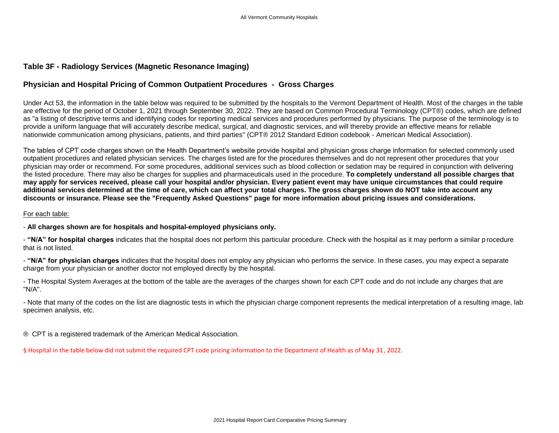## **Table 3F - Radiology Services (Magnetic Resonance Imaging)**

# **Physician and Hospital Pricing of Common Outpatient Procedures - Gross Charges**

Under Act 53, the information in the table below was required to be submitted by the hospitals to the Vermont Department of Health. Most of the charges in the table are effective for the period of October 1, 2021 through September 30, 2022. They are based on Common Procedural Terminology (CPT®) codes, which are defined as "a listing of descriptive terms and identifying codes for reporting medical services and procedures performed by physicians. The purpose of the terminology is to provide a uniform language that will accurately describe medical, surgical, and diagnostic services, and will thereby provide an effective means for reliable nationwide communication among physicians, patients, and third parties" (CPT® 2012 Standard Edition codebook - American Medical Association).

The tables of CPT code charges shown on the Health Department's website provide hospital and physician gross charge information for selected commonly used outpatient procedures and related physician services. The charges listed are for the procedures themselves and do not represent other procedures that your physician may order or recommend. For some procedures, additional services such as blood collection or sedation may be required in conjunction with delivering the listed procedure. There may also be charges for supplies and pharmaceuticals used in the procedure. **To completely understand all possible charges that may apply for services received, please call your hospital and/or physician. Every patient event may have unique circumstances that could require additional services determined at the time of care, which can affect your total charges. The gross charges shown do NOT take into account any discounts or insurance. Please see the "Frequently Asked Questions" page for more information about pricing issues and considerations.**

### For each table:

### - **All charges shown are for hospitals and hospital-employed physicians only.**

- **"N/A" for hospital charges** indicates that the hospital does not perform this particular procedure. Check with the hospital as it may perform a similar p rocedure that is not listed.

- **"N/A" for physician charges** indicates that the hospital does not employ any physician who performs the service. In these cases, you may expect a separate charge from your physician or another doctor not employed directly by the hospital.

- The Hospital System Averages at the bottom of the table are the averages of the charges shown for each CPT code and do not include any charges that are "N/A".

- Note that many of the codes on the list are diagnostic tests in which the physician charge component represents the medical interpretation of a resulting image, lab specimen analysis, etc.

® CPT is a registered trademark of the American Medical Association.

§ Hospital in the table below did not submit the required CPT code pricing information to the Department of Health as of May 31, 2022.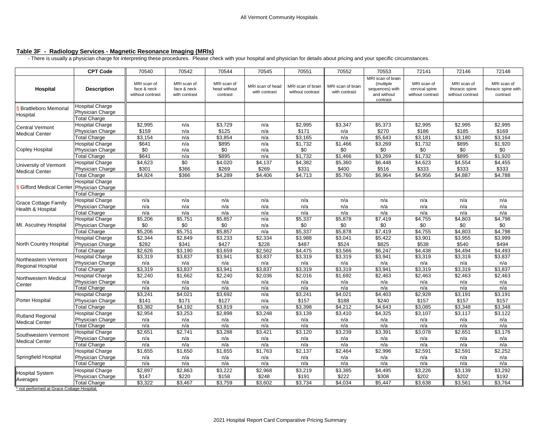### **Table 3F - Radiology Services - Magnetic Resonance Imaging (MRIs)**

- There is usually a physician charge for interpreting these procedures. Please check with your hospital and physician for details about pricing and your specific circumstances.

|                                                  | <b>CPT Code</b>                                                          | 70540                                          | 70542                                       | 70544                                   | 70545                             | 70551                                 | 70552                              | 70553                                                                        | 72141                                             | 72146                                             | 72148                                          |
|--------------------------------------------------|--------------------------------------------------------------------------|------------------------------------------------|---------------------------------------------|-----------------------------------------|-----------------------------------|---------------------------------------|------------------------------------|------------------------------------------------------------------------------|---------------------------------------------------|---------------------------------------------------|------------------------------------------------|
| Hospital                                         | <b>Description</b>                                                       | MRI scan of<br>face & neck<br>without contrast | MRI scan of<br>face & neck<br>with contrast | MRI scan of<br>head without<br>contrast | MRI scan of head<br>with contrast | MRI scan of brain<br>without contrast | MRI scan of brain<br>with contrast | MRI scan of brain<br>(multiple<br>sequences) with<br>and without<br>contrast | MRI scan of<br>cervical spine<br>without contrast | MRI scan of<br>thoracic spine<br>without contrast | MRI scan of<br>thoracic spine with<br>contrast |
| S Brattleboro Memorial<br>Hospital               | <b>Hospital Charge</b><br>Physician Charge<br><b>Total Charge</b>        |                                                |                                             |                                         |                                   |                                       |                                    |                                                                              |                                                   |                                                   |                                                |
| <b>Central Vermont</b><br><b>Medical Center</b>  | <b>Hospital Charge</b><br>Physician Charge<br><b>Total Charge</b>        | \$2,995<br>\$159<br>\$3,154                    | n/a<br>n/a<br>n/a                           | \$3,729<br>\$125<br>\$3,854             | n/a<br>n/a<br>n/a                 | \$2,995<br>\$171<br>\$3,165           | \$3,347<br>n/a<br>n/a              | \$5,373<br>\$270<br>\$5,643                                                  | \$2,995<br>\$186<br>\$3,181                       | \$2,995<br>\$185<br>\$3,180                       | \$2,995<br>\$169<br>\$3,164                    |
| <b>Copley Hospital</b>                           | <b>Hospital Charge</b><br>Physician Charge<br><b>Total Charge</b>        | \$641<br>\$0<br>\$641                          | n/a<br>n/a<br>n/a                           | \$895<br>\$0<br>\$895                   | n/a<br>n/a<br>n/a                 | \$1,732<br>\$0<br>\$1,732             | \$1,466<br>\$0<br>\$1,466          | \$3,269<br>\$0<br>\$3,269                                                    | \$1,732<br>\$0<br>\$1,732                         | \$895<br>\$0<br>\$895                             | \$1,920<br>\$0<br>\$1,920                      |
| University of Vermont<br><b>Medical Center</b>   | <b>Hospital Charge</b><br>Physician Charge<br><b>Total Charge</b>        | \$4,623<br>\$301<br>34,924                     | \$0<br>\$366<br>\$366                       | \$4,020<br>\$269<br>\$4,289             | \$4,137<br>\$269<br>\$4,406       | \$4,382<br>\$331<br>\$4,713           | \$5,360<br>\$400<br>\$5,760        | \$6,448<br>\$516<br>\$6,964                                                  | \$4,623<br>\$333<br>\$4,956                       | \$4,554<br>\$333<br>\$4,887                       | \$4,455<br>\$333<br>\$4,788                    |
| Gifford Medical Center Physician Charge          | <b>Hospital Charge</b><br><b>Total Charge</b>                            |                                                |                                             |                                         |                                   |                                       |                                    |                                                                              |                                                   |                                                   |                                                |
| <b>Grace Cottage Family</b><br>Health & Hospital | <b>Hospital Charge</b><br><b>Physician Charge</b><br><b>Total Charge</b> | n/a<br>n/a<br>n/a                              | n/a<br>n/a<br>n/a                           | n/a<br>n/a<br>n/a                       | n/a<br>n/a<br>n/a                 | n/a<br>n/a<br>n/a                     | n/a<br>n/a<br>n/a                  | n/a<br>n/a<br>n/a                                                            | n/a<br>n/a<br>n/a                                 | n/a<br>n/a<br>n/a                                 | n/a<br>n/a<br>n/a                              |
| Mt. Ascutney Hospital                            | <b>Hospital Charge</b><br><b>Physician Charge</b><br>Total Charge        | \$5,206<br>\$0<br>\$5,206                      | \$5,751<br>\$0<br>\$5,751                   | \$5,857<br>\$0<br>\$5,857               | n/a<br>n/a<br>n/a                 | \$5,337<br>\$0<br>\$5,337             | \$5,878<br>\$0<br>\$5,878          | \$7,419<br>\$0<br>\$7,419                                                    | \$4,755<br>\$0<br>\$4,755                         | \$4,803<br>\$0<br>\$4,803                         | \$4,798<br>\$0<br>\$4,798                      |
| <b>North Country Hospital</b>                    | <b>Hospital Charge</b><br>Physician Charge<br><b>Total Charge</b>        | \$2,344<br>\$282<br>\$2,626                    | \$2,849<br>\$341<br>\$3,190                 | \$3,233<br>\$427<br>\$3,659             | \$2,334<br>\$228<br>\$2,562       | \$3,988<br>\$487<br>\$4,475           | \$3,041<br>\$524<br>\$3,566        | \$5,422<br>\$825<br>\$6,247                                                  | \$3,901<br>\$538<br>\$4,438                       | \$3,955<br>\$540<br>\$4,494                       | \$3,999<br>\$494<br>\$4,493                    |
| Northeastern Vermont<br><b>Regional Hospital</b> | <b>Hospital Charge</b><br>Physician Charge<br><b>Total Charge</b>        | \$3,319<br>n/a<br>\$3,319                      | \$3,837<br>n/a<br>\$3,837                   | \$3,941<br>n/a<br>\$3,941               | \$3,837<br>n/a<br>\$3,837         | \$3,319<br>n/a<br>\$3,319             | \$3,319<br>n/a<br>\$3,319          | \$3,941<br>n/a<br>\$3,941                                                    | \$3,319<br>n/a<br>\$3,319                         | \$3,319<br>n/a<br>\$3,319                         | \$3,837<br>n/a<br>\$3,837                      |
| Northwestern Medical<br>Center                   | <b>Hospital Charge</b><br>Physician Charge<br><b>Total Charge</b>        | \$2,240<br>n/a<br>n/a                          | \$1,662<br>n/a<br>n/a                       | \$2,240<br>n/a<br>n/a                   | \$2,036<br>n/a<br>n/a             | \$2,016<br>n/a<br>n/a                 | \$1,692<br>n/a<br>n/a              | \$2,463<br>n/a<br>n/a                                                        | \$2,463<br>n/a<br>n/a                             | \$2,463<br>n/a<br>n/a                             | \$2,463<br>n/a<br>n/a                          |
| Porter Hospital                                  | <b>Hospital Charge</b><br><b>Physician Charge</b><br><b>Total Charge</b> | \$3,241<br>\$141<br>\$3,382                    | \$4,021<br>\$171<br>\$4,192                 | \$3,692<br>\$127<br>\$3,819             | n/a<br>n/a<br>n/a                 | \$3,241<br>\$157<br>\$3,398           | \$4,021<br>\$188<br>\$4,212        | \$4,403<br>\$240<br>\$4,643                                                  | \$2,928<br>\$157<br>\$3,085                       | \$3,191<br>\$157<br>\$3,348                       | \$3,191<br>\$157<br>\$3,348                    |
| <b>Rutland Regional</b><br><b>Medical Center</b> | <b>Hospital Charge</b><br><b>Physician Charge</b><br><b>Total Charge</b> | \$2,954<br>n/a<br>n/a                          | \$3,253<br>n/a<br>n/a                       | \$2,898<br>n/a<br>n/a                   | \$3,248<br>n/a<br>n/a             | \$3,139<br>n/a<br>n/a                 | \$3,410<br>n/a<br>n/a              | \$4,325<br>n/a<br>n/a                                                        | \$3,107<br>n/a<br>n/a                             | \$3,117<br>n/a<br>n/a                             | \$3,122<br>n/a<br>n/a                          |
| Southwestern Vermont<br><b>Medical Center</b>    | <b>Hospital Charge</b><br>Physician Charge<br><b>Total Charge</b>        | \$2,651<br>n/a<br>n/a                          | \$2,741<br>n/a<br>n/a                       | \$3,288<br>n/a<br>n/a                   | \$3,421<br>n/a<br>n/a             | \$3,120<br>n/a<br>n/a                 | \$3,239<br>n/a<br>n/a              | \$3,391<br>n/a<br>n/a                                                        | \$3,078<br>n/a<br>n/a                             | \$2,651<br>n/a<br>n/a                             | \$3,176<br>n/a<br>n/a                          |
| Springfield Hospital                             | <b>Hospital Charge</b><br>Physician Charge<br><b>Total Charge</b>        | \$1,655<br>n/a<br>n/a                          | \$1,650<br>n/a<br>n/a                       | \$1,655<br>n/a<br>n/a                   | \$1,763<br>n/a<br>n/a             | \$2,137<br>n/a<br>n/a                 | \$2,464<br>n/a<br>n/a              | \$2,996<br>n/a<br>n/a                                                        | \$2,591<br>n/a<br>n/a                             | \$2,591<br>n/a<br>n/a                             | \$2,252<br>n/a<br>n/a                          |
| <b>Hospital System</b><br>Averages               | <b>Hospital Charge</b><br>Physician Charge<br><b>Total Charge</b>        | \$2,897<br>\$147<br>\$3,322                    | \$2,863<br>\$220<br>\$3,467                 | \$3,222<br>\$158<br>\$3,759             | \$2,968<br>\$248<br>\$3,602       | \$3,219<br>\$191<br>\$3,734           | \$3,385<br>\$222<br>\$4.034        | \$4,495<br>\$308<br>\$5,447                                                  | \$3,226<br>\$202<br>\$3,638                       | \$3,139<br>\$202<br>\$3,561                       | \$3,292<br>\$192<br>\$3,764                    |

\* not performed at Grace Cottage Hospital.